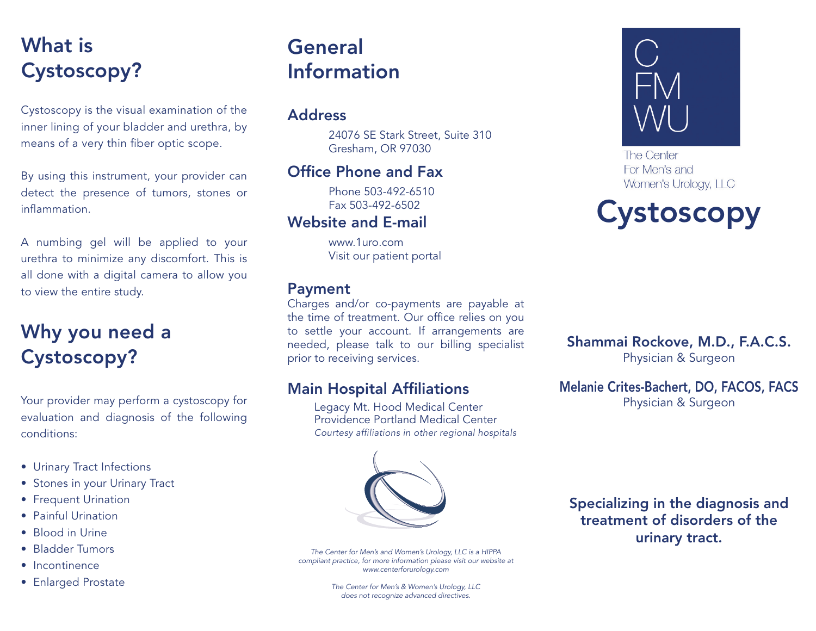# What is Cystoscopy?

Cystoscopy is the visual examination of the inner lining of your bladder and urethra, by means of a very thin fiber optic scope.

By using this instrument, your provider can detect the presence of tumors, stones or inflammation.

A numbing gel will be applied to your urethra to minimize any discomfort. This is all done with a digital camera to allow you to view the entire study.

## Why you need a Cystoscopy?

Your provider may perform a cystoscopy for evaluation and diagnosis of the following conditions:

- Urinary Tract Infections
- Stones in your Urinary Tract
- Frequent Urination
- Painful Urination
- Blood in Urine
- Bladder Tumors
- Incontinence
- Enlarged Prostate

# **General** Information

#### Address

24076 SE Stark Street, Suite 310 Gresham, OR 97030

### Office Phone and Fax

Phone 503-492-6510 Fax 503-492-6502

#### Website and E-mail

www.1uro.com Visit our patient portal

#### Payment

Charges and/or co-payments are payable at the time of treatment. Our office relies on you to settle your account. If arrangements are needed, please talk to our billing specialist prior to receiving services.

#### Main Hospital Affiliations

Legacy Mt. Hood Medical Center Providence Portland Medical Center *Courtesy affiliations in other regional hospitals*



*The Center for Men's and Women's Urology, LLC is a HIPPA compliant practice, for more information please visit our website at www.centerforurology.com*

> *The Center for Men's & Women's Urology, LLC does not recognize advanced directives.*





The Center For Men's and Women's Urology, LLC



Shammai Rockove, M.D., F.A.C.S. Physician & Surgeon

Melanie Crites-Bachert, DO, FACOS, FACS Physician & Surgeon